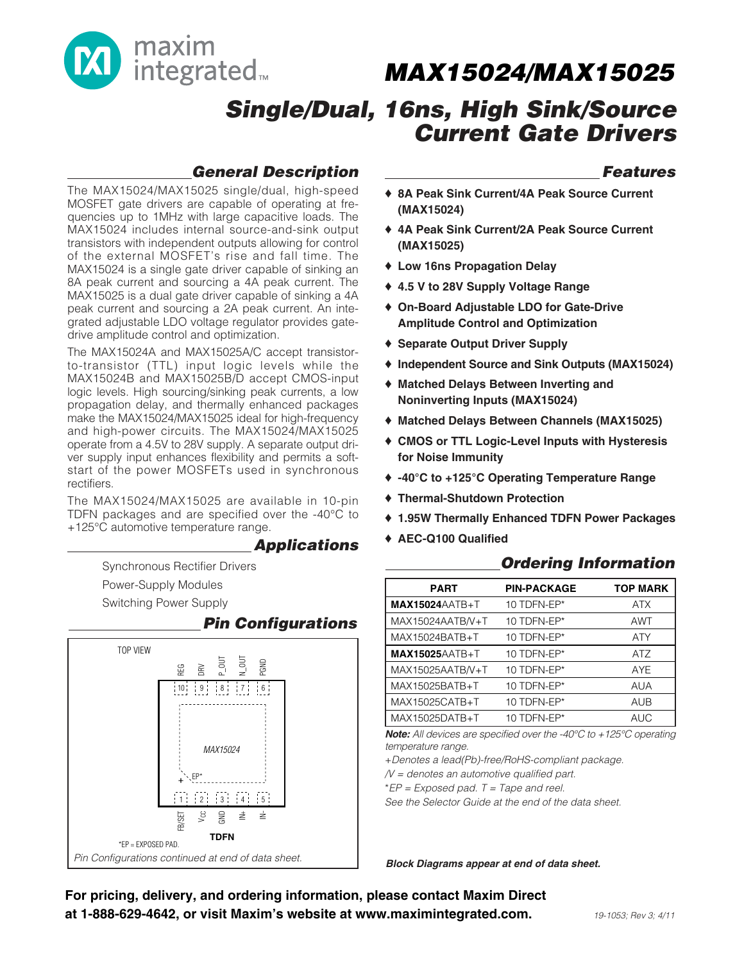

## **Single/Dual, 16ns, High Sink/Source Current Gate Drivers**

## **General Description**

The MAX15024/MAX15025 single/dual, high-speed MOSFET gate drivers are capable of operating at frequencies up to 1MHz with large capacitive loads. The MAX15024 includes internal source-and-sink output transistors with independent outputs allowing for control of the external MOSFET's rise and fall time. The MAX15024 is a single gate driver capable of sinking an 8A peak current and sourcing a 4A peak current. The MAX15025 is a dual gate driver capable of sinking a 4A peak current and sourcing a 2A peak current. An integrated adjustable LDO voltage regulator provides gatedrive amplitude control and optimization.

The MAX15024A and MAX15025A/C accept transistorto-transistor (TTL) input logic levels while the MAX15024B and MAX15025B/D accept CMOS-input logic levels. High sourcing/sinking peak currents, a low propagation delay, and thermally enhanced packages make the MAX15024/MAX15025 ideal for high-frequency and high-power circuits. The MAX15024/MAX15025 operate from a 4.5V to 28V supply. A separate output driver supply input enhances flexibility and permits a softstart of the power MOSFETs used in synchronous rectifiers.

The MAX15024/MAX15025 are available in 10-pin TDFN packages and are specified over the -40°C to +125°C automotive temperature range.

#### **Applications**

**Power-Supply Modules** Synchronous Rectifier Drivers Switching Power Supply

#### **Pin Configurations**



#### **Features**

- ♦ **8A Peak Sink Current/4A Peak Source Current (MAX15024)**
- ♦ **4A Peak Sink Current/2A Peak Source Current (MAX15025)**
- ♦ **Low 16ns Propagation Delay**
- ♦ **4.5 V to 28V Supply Voltage Range**
- ♦ **On-Board Adjustable LDO for Gate-Drive Amplitude Control and Optimization**
- ♦ **Separate Output Driver Supply**
- ♦ **Independent Source and Sink Outputs (MAX15024)**
- ♦ **Matched Delays Between Inverting and Noninverting Inputs (MAX15024)**
- ♦ **Matched Delays Between Channels (MAX15025)**
- ♦ **CMOS or TTL Logic-Level Inputs with Hysteresis for Noise Immunity**
- ♦ **-40°C to +125°C Operating Temperature Range**
- ♦ **Thermal-Shutdown Protection**
- ♦ **1.95W Thermally Enhanced TDFN Power Packages**
- ♦ **AEC-Q100 Qualified**

#### **Ordering Information**

| <b>PART</b>           | <b>PIN-PACKAGE</b> | <b>TOP MARK</b> |
|-----------------------|--------------------|-----------------|
| <b>MAX15024AATB+T</b> | 10 TDFN-EP*        | <b>ATX</b>      |
| MAX15024AATB/V+T      | 10 TDFN-EP*        | AWT             |
| MAX15024BATB+T        | 10 TDFN-EP*        | <b>ATY</b>      |
| <b>MAX15025AATB+T</b> | 10 TDFN-EP*        | ATZ             |
| MAX15025AATB/V+T      | 10 TDFN-EP*        | AYF             |
| MAX15025BATB+T        | 10 TDFN-EP*        | <b>AUA</b>      |
| MAX15025CATB+T        | 10 TDFN-EP*        | AUB             |
| MAX15025DATB+T        | 10 TDFN-EP*        | <b>AUC</b>      |

**Note:** All devices are specified over the -40°C to +125°C operating temperature range.

+Denotes a lead(Pb)-free/RoHS-compliant package.

 $/V =$  denotes an automotive qualified part.

 $E^*FP = Exposed pad. T = Tape and real.$ 

See the Selector Guide at the end of the data sheet.

For pricing, delivery, and ordering information, please contact Maxim Direct at 1-888-629-4642, or visit Maxim's website at www.maximintegrated.com.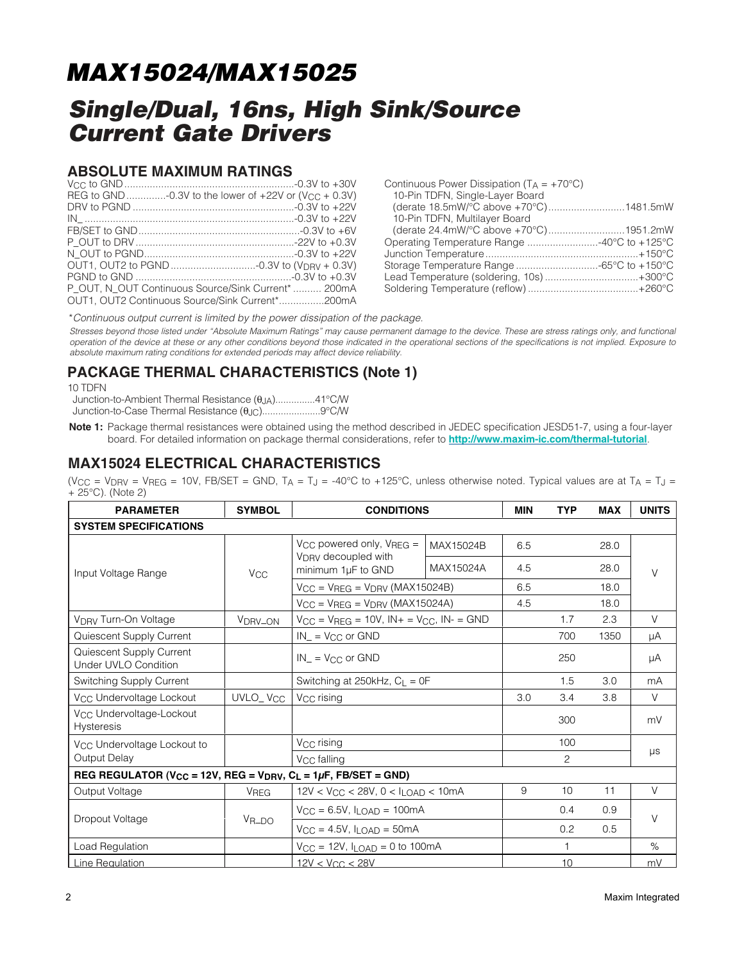## **Single/Dual, 16ns, High Sink/Source Current Gate Drivers**

#### **ABSOLUTE MAXIMUM RATINGS**

| P OUT. N OUT Continuous Source/Sink Current*  200mA |
|-----------------------------------------------------|
| OUT1, OUT2 Continuous Source/Sink Current*200mA     |

| Continuous Power Dissipation $(T_A = +70^{\circ}C)$<br>10-Pin TDFN, Single-Layer Board |  |
|----------------------------------------------------------------------------------------|--|
| (derate 18.5mW/°C above +70°C)1481.5mW                                                 |  |
| 10-Pin TDFN, Multilayer Board                                                          |  |
|                                                                                        |  |
|                                                                                        |  |
|                                                                                        |  |
|                                                                                        |  |
| Lead Temperature (soldering, 10s)  +300°C                                              |  |
|                                                                                        |  |

\*Continuous output current is limited by the power dissipation of the package.

Stresses beyond those listed under "Absolute Maximum Ratings" may cause permanent damage to the device. These are stress ratings only, and functional operation of the device at these or any other conditions beyond those indicated in the operational sections of the specifications is not implied. Exposure to absolute maximum rating conditions for extended periods may affect device reliability.

### **PACKAGE THERMAL CHARACTERISTICS (Note 1)**

10 TDFN

Junction-to-Ambient Thermal Resistance (θJA)...............41°C/W Junction-to-Case Thermal Resistance (θJC)......................9°C/W

**Note 1:** Package thermal resistances were obtained using the method described in JEDEC specification JESD51-7, using a four-layer board. For detailed information on package thermal considerations, refer to **http://www.maxim-ic.com/thermal-tutorial**.

### **MAX15024 ELECTRICAL CHARACTERISTICS**

(V<sub>CC</sub> = V<sub>DRV</sub> = V<sub>REG</sub> = 10V, FB/SET = GND, T<sub>A</sub> = T<sub>J</sub> = -40°C to +125°C, unless otherwise noted. Typical values are at T<sub>A</sub> = T<sub>J</sub> = + 25°C). (Note 2)

| <b>PARAMETER</b>                                                                                         | <b>SYMBOL</b>         | <b>CONDITIONS</b>                                                     |           | <b>MIN</b>   | <b>TYP</b> | <b>MAX</b> | <b>UNITS</b> |
|----------------------------------------------------------------------------------------------------------|-----------------------|-----------------------------------------------------------------------|-----------|--------------|------------|------------|--------------|
| <b>SYSTEM SPECIFICATIONS</b>                                                                             |                       |                                                                       |           |              |            |            |              |
|                                                                                                          |                       | $V_{CC}$ powered only, $V_{REG} =$<br>V <sub>DRV</sub> decoupled with | MAX15024B | 6.5          |            | 28.0       |              |
| Input Voltage Range                                                                                      | <b>V<sub>CC</sub></b> | minimum 1µF to GND                                                    | MAX15024A | 4.5          |            | 28.0       | $\vee$       |
|                                                                                                          |                       | $V_{CC}$ = $V_{REG}$ = $V_{DRV}$ (MAX15024B)                          |           | 6.5          |            | 18.0       |              |
|                                                                                                          |                       | $V_{CC}$ = $V_{REG}$ = $V_{DRV}$ (MAX15024A)                          |           | 4.5          |            | 18.0       |              |
| V <sub>DRV</sub> Turn-On Voltage                                                                         | V <sub>DRV_ON</sub>   | $V_{CC}$ = $V_{REG}$ = 10V, $IN +$ = $V_{CC}$ , $IN -$ = GND          |           |              | 1.7        | 2.3        | $\vee$       |
| Quiescent Supply Current                                                                                 |                       | $IN = V_{CC}$ or GND                                                  |           |              | 700        | 1350       | μA           |
| Quiescent Supply Current<br><b>Under UVLO Condition</b>                                                  |                       | $IN = V_{CC}$ or GND                                                  |           |              | 250        |            | μA           |
| <b>Switching Supply Current</b>                                                                          |                       | Switching at 250kHz, $C_L = 0F$                                       |           |              | 1.5        | 3.0        | mA           |
| V <sub>CC</sub> Undervoltage Lockout                                                                     | UVLO_V <sub>CC</sub>  | V <sub>CC</sub> rising                                                |           | 3.0          | 3.4        | 3.8        | $\vee$       |
| V <sub>CC</sub> Undervoltage-Lockout<br><b>Hysteresis</b>                                                |                       |                                                                       |           |              | 300        |            | mV           |
| V <sub>CC</sub> Undervoltage Lockout to                                                                  |                       | V <sub>CC</sub> rising                                                |           |              | 100        |            |              |
| Output Delay                                                                                             |                       | V <sub>CC</sub> falling                                               |           |              | 2          |            | μs           |
| REG REGULATOR (V <sub>CC</sub> = 12V, REG = V <sub>DRV</sub> , C <sub>L</sub> = 1 $\mu$ F, FB/SET = GND) |                       |                                                                       |           |              |            |            |              |
| Output Voltage                                                                                           | VREG                  | $12V < V_{CC} < 28V$ , $0 < I_{LOAD} < 10mA$                          |           | 9            | 10         | 11         | V            |
| Dropout Voltage                                                                                          | V <sub>R</sub> _DO    | $V_{CC} = 6.5V$ , $I_{LOAD} = 100mA$                                  |           |              | 0.4        | 0.9        | V            |
|                                                                                                          |                       | $V_{CC} = 4.5V$ , $I_{LOAD} = 50mA$                                   |           |              | 0.2        | 0.5        |              |
| Load Regulation                                                                                          |                       | $V_{CC} = 12V$ , $I_{LOAD} = 0$ to 100mA                              |           | $\mathbf{1}$ |            | $\%$       |              |
| Line Regulation                                                                                          |                       | $12V < V_{CC} < 28V$                                                  |           |              | 10         |            | mV           |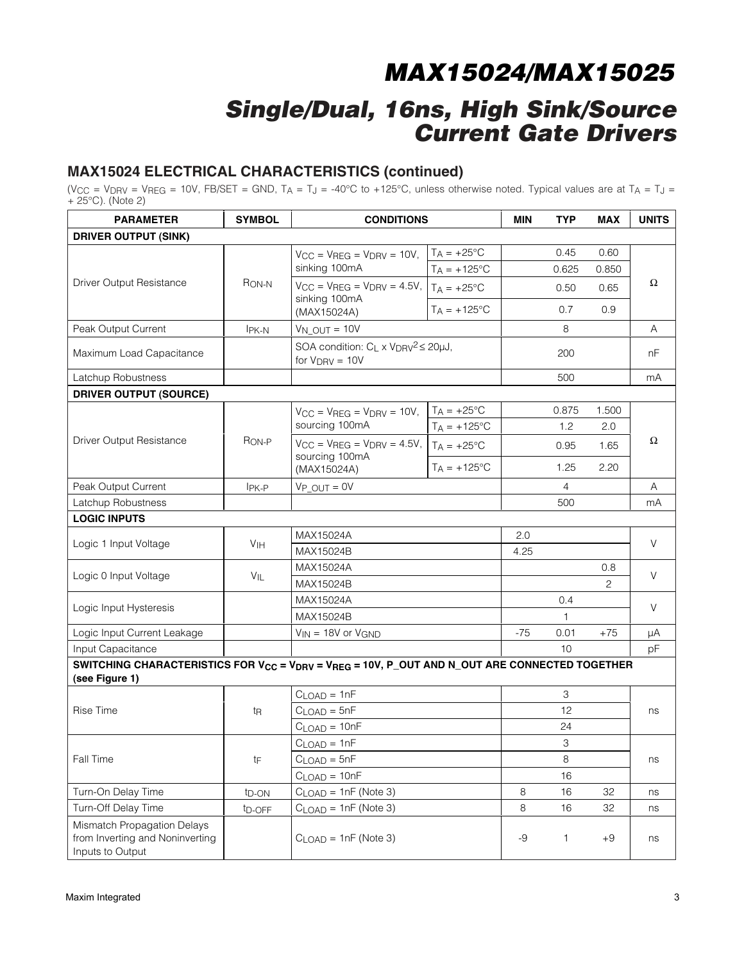## **Single/Dual, 16ns, High Sink/Source Current Gate Drivers**

#### **MAX15024 ELECTRICAL CHARACTERISTICS (continued)**

(V<sub>CC</sub> = V<sub>DRV</sub> = V<sub>REG</sub> = 10V, FB/SET = GND, T<sub>A</sub> = T<sub>J</sub> = -40°C to +125°C, unless otherwise noted. Typical values are at T<sub>A</sub> = T<sub>J</sub> = + 25°C). (Note 2)

| <b>PARAMETER</b>                                                                                                                                    | <b>SYMBOL</b>      | <b>CONDITIONS</b>                                                            |                       | MIN   | TYP            | MAX   | <b>UNITS</b> |
|-----------------------------------------------------------------------------------------------------------------------------------------------------|--------------------|------------------------------------------------------------------------------|-----------------------|-------|----------------|-------|--------------|
| <b>DRIVER OUTPUT (SINK)</b>                                                                                                                         |                    |                                                                              |                       |       |                |       |              |
|                                                                                                                                                     |                    | $V_{CC}$ = $V_{REG}$ = $V_{DRV}$ = 10V,                                      | $T_A = +25$ °C        |       | 0.45           | 0.60  |              |
|                                                                                                                                                     |                    | sinking 100mA                                                                | $T_A = +125$ °C       |       | 0.625          | 0.850 |              |
| Driver Output Resistance                                                                                                                            | R <sub>ON-N</sub>  | $V_{CC}$ = $V_{REG}$ = $V_{DRV}$ = 4.5V, $T_A$ = +25°C                       |                       |       | 0.50           | 0.65  | Ω            |
|                                                                                                                                                     |                    | sinking 100mA<br>(MAX15024A)                                                 | $T_A = +125$ °C       |       | 0.7            | 0.9   |              |
| Peak Output Current                                                                                                                                 | IPK-N              | $V_{N\_OUT} = 10V$                                                           |                       |       | 8              |       | A            |
| Maximum Load Capacitance                                                                                                                            |                    | SOA condition: $C_L \times V_{DRV}^2 \leq 20 \mu J$ ,<br>for $V_{DRV} = 10V$ |                       |       | 200            |       | nF           |
| Latchup Robustness                                                                                                                                  |                    |                                                                              |                       |       | 500            |       | mA           |
| <b>DRIVER OUTPUT (SOURCE)</b>                                                                                                                       |                    |                                                                              |                       |       |                |       |              |
|                                                                                                                                                     |                    | $V_{CC}$ = $V_{REG}$ = $V_{DRV}$ = 10V, $T_A$ = +25°C                        |                       |       | 0.875          | 1.500 |              |
|                                                                                                                                                     |                    | sourcing 100mA                                                               | $T_A = +125$ °C       |       | 1.2            | 2.0   |              |
| Driver Output Resistance                                                                                                                            | R <sub>ON-P</sub>  | $V_{\text{CC}}$ = $V_{\text{REG}}$ = $V_{\text{DRV}}$ = 4.5V, $T_A$ = +25°C  |                       |       | 0.95           | 1.65  | Ω            |
|                                                                                                                                                     |                    | sourcing 100mA<br>(MAX15024A)                                                | $T_A = +125^{\circ}C$ |       | 1.25           | 2.20  |              |
| Peak Output Current                                                                                                                                 | IPK-P              | $V_P$ $OUT = 0V$                                                             |                       |       | $\overline{4}$ |       | Α            |
| Latchup Robustness                                                                                                                                  |                    |                                                                              |                       |       | 500            |       | mA           |
| <b>LOGIC INPUTS</b>                                                                                                                                 |                    |                                                                              |                       |       |                |       |              |
| Logic 1 Input Voltage                                                                                                                               | V <sub>IH</sub>    | MAX15024A                                                                    |                       | 2.0   |                |       | $\vee$       |
|                                                                                                                                                     |                    | MAX15024B                                                                    |                       | 4.25  |                |       |              |
| Logic 0 Input Voltage                                                                                                                               | VIL                | MAX15024A                                                                    |                       |       |                | 0.8   | V            |
|                                                                                                                                                     |                    | MAX15024B                                                                    |                       |       |                | 2     |              |
| Logic Input Hysteresis                                                                                                                              |                    | MAX15024A                                                                    |                       |       | 0.4            |       | V            |
|                                                                                                                                                     |                    | MAX15024B                                                                    |                       |       | 1              |       |              |
| Logic Input Current Leakage                                                                                                                         |                    | $V_{IN} = 18V$ or $V_{GND}$                                                  |                       | $-75$ | 0.01           | $+75$ | μA           |
| Input Capacitance                                                                                                                                   |                    |                                                                              |                       |       | 10             |       | pF           |
| SWITCHING CHARACTERISTICS FOR V <sub>CC</sub> = V <sub>DRV</sub> = V <sub>REG</sub> = 10V, P_OUT AND N_OUT ARE CONNECTED TOGETHER<br>(see Figure 1) |                    |                                                                              |                       |       |                |       |              |
|                                                                                                                                                     |                    | $CLOAD = 1nF$                                                                |                       |       | 3              |       |              |
| Rise Time                                                                                                                                           | t <sub>R</sub>     | $CLOAD = 5nF$                                                                |                       |       | 12             |       | ns           |
|                                                                                                                                                     |                    | $CLOAD = 10nF$                                                               |                       |       | 24             |       |              |
|                                                                                                                                                     |                    | $CLOAD = 1nF$                                                                |                       |       | 3              |       |              |
| Fall Time                                                                                                                                           | tF                 | $CLOAD = 5nF$                                                                |                       |       | 8              |       | ns           |
|                                                                                                                                                     |                    | $CLOAD = 10nF$                                                               |                       |       | 16             |       |              |
| Turn-On Delay Time                                                                                                                                  | t <sub>D</sub> -ON | $CLOAD = 1nF (Note 3)$                                                       |                       | 8     | 16             | 32    | ns           |
| Turn-Off Delay Time                                                                                                                                 | t <sub>D-OFF</sub> | $CLOAD = 1nF (Note 3)$                                                       |                       | 8     | 16             | 32    | ns           |
| Mismatch Propagation Delays<br>from Inverting and Noninverting<br>Inputs to Output                                                                  |                    | $CLOAD = 1nF (Note 3)$                                                       |                       | -9    | 1              | $+9$  | ns           |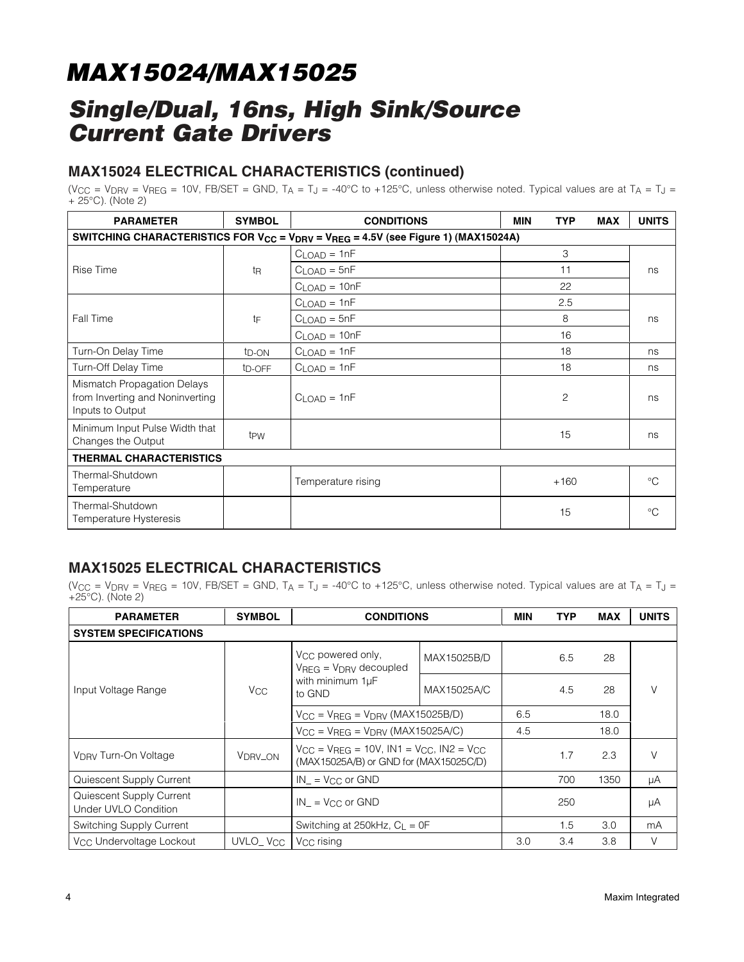## **Single/Dual, 16ns, High Sink/Source Current Gate Drivers**

### **MAX15024 ELECTRICAL CHARACTERISTICS (continued)**

(V<sub>CC</sub> = V<sub>DRV</sub> = V<sub>REG</sub> = 10V, FB/SET = GND, T<sub>A</sub> = T<sub>J</sub> = -40°C to +125°C, unless otherwise noted. Typical values are at T<sub>A</sub> = T<sub>J</sub> = + 25°C). (Note 2)

| <b>PARAMETER</b>                                                                                                      | <b>SYMBOL</b>       | <b>CONDITIONS</b>  | <b>MIN</b><br><b>TYP</b> | <b>MAX</b> | <b>UNITS</b> |  |  |  |  |
|-----------------------------------------------------------------------------------------------------------------------|---------------------|--------------------|--------------------------|------------|--------------|--|--|--|--|
| SWITCHING CHARACTERISTICS FOR V <sub>CC</sub> = V <sub>DRV</sub> = V <sub>REG</sub> = 4.5V (see Figure 1) (MAX15024A) |                     |                    |                          |            |              |  |  |  |  |
|                                                                                                                       |                     | $CLOAD = 1nF$      | 3                        |            |              |  |  |  |  |
| Rise Time                                                                                                             | t <sub>R</sub>      | $CLOAD = 5nF$      | 11                       |            | ns           |  |  |  |  |
|                                                                                                                       |                     | $CLOAD = 10nF$     | 22                       |            |              |  |  |  |  |
|                                                                                                                       |                     | $CLOAD = 1nF$      | 2.5                      |            |              |  |  |  |  |
| Fall Time                                                                                                             | tF                  | $CLOAD = 5nF$      | 8                        |            | ns           |  |  |  |  |
|                                                                                                                       |                     | $CLOAD = 10nF$     | 16                       |            |              |  |  |  |  |
| Turn-On Delay Time                                                                                                    | t <sub>D</sub> -ON  | $CLOAD = 1nF$      | 18                       |            | ns           |  |  |  |  |
| Turn-Off Delay Time                                                                                                   | t <sub>D</sub> -OFF | $CLOAD = 1nF$      | 18                       |            | ns           |  |  |  |  |
| Mismatch Propagation Delays<br>from Inverting and Noninverting<br>Inputs to Output                                    |                     | $CLOAD = 1nF$      | 2                        |            | ns           |  |  |  |  |
| Minimum Input Pulse Width that<br>Changes the Output                                                                  | t <sub>PW</sub>     | 15                 |                          |            | ns           |  |  |  |  |
| <b>THERMAL CHARACTERISTICS</b>                                                                                        |                     |                    |                          |            |              |  |  |  |  |
| Thermal-Shutdown<br>Temperature                                                                                       |                     | Temperature rising | $+160$                   |            | $^{\circ}C$  |  |  |  |  |
| Thermal-Shutdown<br>Temperature Hysteresis                                                                            |                     |                    | 15                       |            | $^{\circ}C$  |  |  |  |  |

### **MAX15025 ELECTRICAL CHARACTERISTICS**

(V<sub>CC</sub> = V<sub>DRV</sub> = V<sub>REG</sub> = 10V, FB/SET = GND, T<sub>A</sub> = T<sub>J</sub> = -40°C to +125°C, unless otherwise noted. Typical values are at T<sub>A</sub> = T<sub>J</sub> = +25°C). (Note 2)

| <b>PARAMETER</b>                                 | <b>SYMBOL</b>                                  | <b>CONDITIONS</b>                                                                                    |             | <b>MIN</b> | <b>TYP</b> | <b>MAX</b> | <b>UNITS</b> |
|--------------------------------------------------|------------------------------------------------|------------------------------------------------------------------------------------------------------|-------------|------------|------------|------------|--------------|
| <b>SYSTEM SPECIFICATIONS</b>                     |                                                |                                                                                                      |             |            |            |            |              |
| Input Voltage Range                              | <b>V<sub>CC</sub></b>                          | V <sub>CC</sub> powered only,<br>$VREG = VDRV decoupled$                                             | MAX15025B/D |            | 6.5        | 28         |              |
|                                                  |                                                | with minimum 1µF<br>to GND                                                                           | MAX15025A/C |            | 4.5        | 28         | V            |
|                                                  | $V_{CC}$ = $V_{REG}$ = $V_{DRV}$ (MAX15025B/D) |                                                                                                      | 6.5         |            | 18.0       |            |              |
|                                                  |                                                | $V_{CC}$ = $V_{REG}$ = $V_{DRV}$ (MAX15025A/C)                                                       |             | 4.5        |            | 18.0       |              |
| <b>V<sub>DRV</sub></b> Turn-On Voltage           | V <sub>DRV_ON</sub>                            | $V_{CC} = V_{BFG} = 10V$ , $IN1 = V_{CC}$ , $IN2 = V_{CC}$<br>(MAX15025A/B) or GND for (MAX15025C/D) |             |            | 1.7        | 2.3        | V            |
| Quiescent Supply Current                         |                                                | $IN = V_{CC}$ or GND                                                                                 |             |            | 700        | 1350       | μA           |
| Quiescent Supply Current<br>Under UVLO Condition |                                                | $IN = V_{CC}$ or GND                                                                                 |             |            | 250        |            | μA           |
| Switching Supply Current                         |                                                | Switching at 250kHz, $C_1 = 0F$                                                                      |             |            | 1.5        | 3.0        | mA           |
| V <sub>CC</sub> Undervoltage Lockout             | UVLO_V <sub>CC</sub>                           | V <sub>CC</sub> rising                                                                               |             | 3.0        | 3.4        | 3.8        | V            |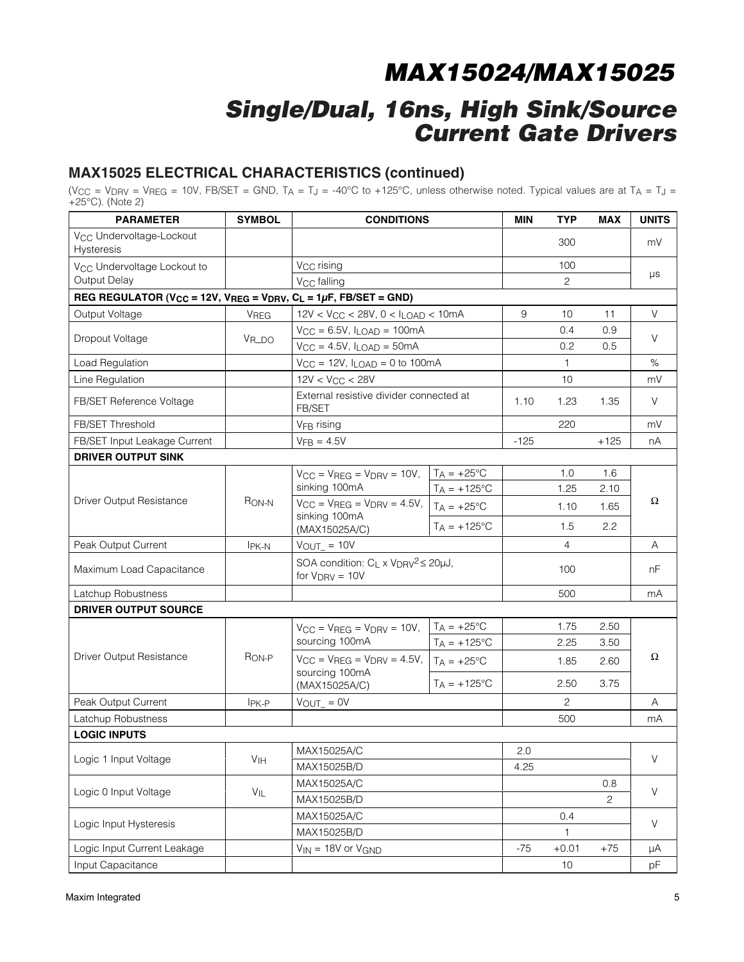## **Single/Dual, 16ns, High Sink/Source Current Gate Drivers**

### **MAX15025 ELECTRICAL CHARACTERISTICS (continued)**

(V $_{\rm CC}$  = V $_{\rm DPV}$  = V $_{\rm REG}$  = 10V, FB/SET = GND, T $_{\rm A}$  = T $_{\rm J}$  = -40°C to +125°C, unless otherwise noted. Typical values are at T $_{\rm A}$  = T $_{\rm J}$  = +25°C). (Note 2)

| <b>PARAMETER</b>                                                                                                      | <b>SYMBOL</b>     | <b>CONDITIONS</b>                                                            |                       | MIN    | <b>TYP</b>     | <b>MAX</b> | <b>UNITS</b> |  |
|-----------------------------------------------------------------------------------------------------------------------|-------------------|------------------------------------------------------------------------------|-----------------------|--------|----------------|------------|--------------|--|
| V <sub>CC</sub> Undervoltage-Lockout<br><b>Hysteresis</b>                                                             |                   |                                                                              |                       |        | 300            |            | mV           |  |
| V <sub>CC</sub> Undervoltage Lockout to                                                                               |                   | V <sub>CC</sub> rising                                                       |                       |        | 100            |            |              |  |
| Output Delay                                                                                                          |                   | V <sub>CC</sub> falling                                                      |                       |        | 2              |            | μs           |  |
| REG REGULATOR (V <sub>CC</sub> = 12V, V <sub>REG</sub> = V <sub>DRV</sub> , C <sub>L</sub> = 1 $\mu$ F, FB/SET = GND) |                   |                                                                              |                       |        |                |            |              |  |
| Output Voltage                                                                                                        | <b>VREG</b>       | $12V < V_{CC} < 28V$ , $0 < I_{LOAD} < 10mA$                                 |                       | 9      | 10             | 11         | V            |  |
|                                                                                                                       |                   | $V_{CC} = 6.5V$ , $I_{LOAD} = 100mA$                                         |                       |        | 0.4            | 0.9        |              |  |
| Dropout Voltage                                                                                                       | $V_{R\perp DO}$   | $V_{CC} = 4.5V$ , $I_{LOAD} = 50mA$                                          |                       |        | 0.2            | 0.5        | V            |  |
| Load Regulation                                                                                                       |                   | $V_{CC} = 12V$ , $I_{LOAD} = 0$ to 100mA                                     |                       |        | 1              |            | $\%$         |  |
| Line Regulation                                                                                                       |                   | $12V < V_{CC} < 28V$                                                         |                       |        | 10             |            | mV           |  |
| FB/SET Reference Voltage                                                                                              |                   | External resistive divider connected at<br>FB/SET                            |                       | 1.10   | 1.23           | 1.35       | V            |  |
| FB/SET Threshold                                                                                                      |                   | V <sub>FB</sub> rising                                                       |                       |        | 220            |            | mV           |  |
| FB/SET Input Leakage Current                                                                                          |                   | $VFB = 4.5V$                                                                 |                       | $-125$ |                | $+125$     | nA           |  |
| <b>DRIVER OUTPUT SINK</b>                                                                                             |                   |                                                                              |                       |        |                |            |              |  |
|                                                                                                                       |                   | $V_{CC}$ = $V_{REG}$ = $V_{DRV}$ = 10V,                                      | $T_A = +25^{\circ}C$  |        | 1.0            | 1.6        |              |  |
|                                                                                                                       |                   | sinking 100mA                                                                | $T_A = +125$ °C       |        | 1.25           | 2.10       |              |  |
| Driver Output Resistance                                                                                              | R <sub>ON-N</sub> | $V_{CC}$ = $V_{REG}$ = $V_{DRV}$ = 4.5V,                                     | $T_A = +25^{\circ}C$  |        | 1.10           | 1.65       | Ω            |  |
|                                                                                                                       |                   | sinking 100mA<br>(MAX15025A/C)                                               | $T_A = +125^{\circ}C$ |        | 1.5            | 2.2        |              |  |
| Peak Output Current                                                                                                   | I <sub>PK-N</sub> | $V_{OUT} = 10V$                                                              |                       |        | 4              |            | A            |  |
| Maximum Load Capacitance                                                                                              |                   | SOA condition: $C_L \times V_{DRV}^2 \leq 20 \mu J$ ,<br>for $V_{DRV} = 10V$ |                       |        | 100            |            | nF           |  |
| Latchup Robustness                                                                                                    |                   |                                                                              |                       |        | 500            |            | mA           |  |
| <b>DRIVER OUTPUT SOURCE</b>                                                                                           |                   |                                                                              |                       |        |                |            |              |  |
|                                                                                                                       |                   | $V_{CC}$ = $V_{REG}$ = $V_{DRV}$ = 10V,                                      | $T_A = +25^{\circ}C$  |        | 1.75           | 2.50       |              |  |
|                                                                                                                       |                   | sourcing 100mA                                                               | $T_A = +125$ °C       |        | 2.25           | 3.50       |              |  |
| Driver Output Resistance                                                                                              | R <sub>ON-P</sub> | $V_{CC}$ = $V_{REG}$ = $V_{DRV}$ = 4.5V,                                     | $T_A = +25$ °C        |        | 1.85           | 2.60       | Ω            |  |
|                                                                                                                       |                   | sourcing 100mA<br>(MAX15025A/C)                                              | $T_A = +125$ °C       |        | 2.50           | 3.75       |              |  |
| Peak Output Current                                                                                                   | $IPK-P$           | $V_{OUT} = 0V$                                                               |                       |        | $\overline{2}$ |            | A            |  |
| Latchup Robustness                                                                                                    |                   |                                                                              |                       |        | 500            |            | mA           |  |
| <b>LOGIC INPUTS</b>                                                                                                   |                   |                                                                              |                       |        |                |            |              |  |
|                                                                                                                       |                   | MAX15025A/C                                                                  |                       | 2.0    |                |            |              |  |
| Logic 1 Input Voltage                                                                                                 | V <sub>IH</sub>   | MAX15025B/D                                                                  |                       | 4.25   |                |            | $\vee$       |  |
|                                                                                                                       |                   | MAX15025A/C                                                                  |                       |        |                | 0.8        |              |  |
| Logic 0 Input Voltage                                                                                                 | $V_{IL}$          | MAX15025B/D                                                                  |                       |        | 2              | $\vee$     |              |  |
|                                                                                                                       |                   | MAX15025A/C                                                                  |                       |        | 0.4            |            | $\vee$       |  |
| Logic Input Hysteresis                                                                                                |                   | MAX15025B/D                                                                  |                       |        | 1              |            |              |  |
| Logic Input Current Leakage                                                                                           |                   | $V_{IN} = 18V$ or $V_{GND}$                                                  |                       | $-75$  | $+0.01$        | $+75$      | μA           |  |
| Input Capacitance                                                                                                     |                   |                                                                              |                       |        | 10             |            | pF           |  |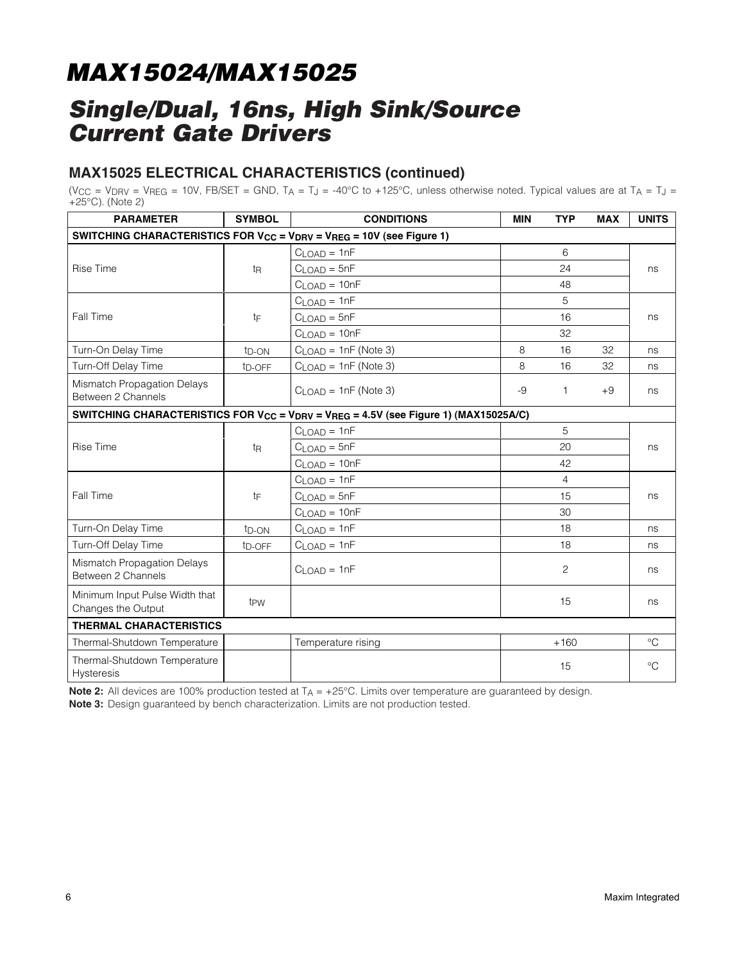## **Single/Dual, 16ns, High Sink/Source Current Gate Drivers**

### **MAX15025 ELECTRICAL CHARACTERISTICS (continued)**

(V<sub>CC</sub> = V<sub>DRV</sub> = V<sub>REG</sub> = 10V, FB/SET = GND, T<sub>A</sub> = T<sub>J</sub> = -40°C to +125°C, unless otherwise noted. Typical values are at T<sub>A</sub> = T<sub>J</sub> = +25°C). (Note 2)

| <b>PARAMETER</b>                                     | <b>SYMBOL</b>      | <b>CONDITIONS</b>                                                                                                       |    | <b>TYP</b>     | <b>MAX</b> | <b>UNITS</b>    |  |
|------------------------------------------------------|--------------------|-------------------------------------------------------------------------------------------------------------------------|----|----------------|------------|-----------------|--|
|                                                      |                    | SWITCHING CHARACTERISTICS FOR V <sub>CC</sub> = V <sub>DRV</sub> = V <sub>REG</sub> = 10V (see Figure 1)                |    |                |            |                 |  |
|                                                      |                    | $CLOAD = 1nF$                                                                                                           |    | 6              |            |                 |  |
| Rise Time                                            | t <sub>R</sub>     | $CLOAD = 5nF$                                                                                                           |    | 24             |            | ns              |  |
|                                                      |                    | $CLOAD = 10nF$                                                                                                          |    | 48             |            |                 |  |
|                                                      |                    | $CLOAD = 1nF$                                                                                                           |    | 5              |            |                 |  |
| Fall Time                                            | tF                 | $CLOAD = 5nF$                                                                                                           |    | 16             |            | ns              |  |
|                                                      |                    | $CLOAD = 10nF$                                                                                                          |    | 32             |            |                 |  |
| Turn-On Delay Time                                   | t <sub>D</sub> -ON | $CLOAD = 1nF (Note 3)$                                                                                                  | 8  | 16             | 32         | ns              |  |
| Turn-Off Delay Time                                  | t <sub>D-OFF</sub> | $CLOAD = 1nF (Note 3)$                                                                                                  | 8  | 16             | 32         | ns              |  |
| Mismatch Propagation Delays<br>Between 2 Channels    |                    | $CLOAD = 1nF (Note 3)$                                                                                                  | -9 | 1              | $+9$       | ns              |  |
|                                                      |                    | SWITCHING CHARACTERISTICS FOR V <sub>CC</sub> = V <sub>DRV</sub> = V <sub>REG</sub> = 4.5V (see Figure 1) (MAX15025A/C) |    |                |            |                 |  |
|                                                      |                    | $CLOAD = 1nF$                                                                                                           |    | 5              |            |                 |  |
| <b>Rise Time</b>                                     | t <sub>R</sub>     | $CLOAD = 5nF$                                                                                                           |    | 20             |            | ns              |  |
|                                                      |                    | $CLOAD = 10nF$                                                                                                          |    | 42             |            |                 |  |
|                                                      |                    | $CLOAD = 1nF$                                                                                                           |    | $\overline{4}$ |            |                 |  |
| Fall Time                                            | tF                 | $CLOAD = 5nF$                                                                                                           |    | 15             |            | ns              |  |
|                                                      |                    | $CLOAD = 10nF$                                                                                                          |    | 30             |            |                 |  |
| Turn-On Delay Time                                   | t <sub>D</sub> -ON | $CLOAD = 1nF$                                                                                                           |    | 18             |            | ns              |  |
| Turn-Off Delay Time                                  | t <sub>D-OFF</sub> | $CLOAD = 1nF$                                                                                                           |    | 18             |            | ns              |  |
| Mismatch Propagation Delays<br>Between 2 Channels    |                    | $CLOAD = 1nF$                                                                                                           |    | $\overline{c}$ |            | ns              |  |
| Minimum Input Pulse Width that<br>Changes the Output | t <sub>PW</sub>    |                                                                                                                         |    | 15             |            | ns              |  |
| <b>THERMAL CHARACTERISTICS</b>                       |                    |                                                                                                                         |    |                |            |                 |  |
| Thermal-Shutdown Temperature                         |                    | Temperature rising                                                                                                      |    | $+160$         |            | $\rm ^{\circ}C$ |  |
| Thermal-Shutdown Temperature<br><b>Hysteresis</b>    |                    |                                                                                                                         |    | 15             |            | $^{\circ}C$     |  |

**Note 2:** All devices are 100% production tested at T<sub>A</sub> = +25°C. Limits over temperature are guaranteed by design.

**Note 3:** Design guaranteed by bench characterization. Limits are not production tested.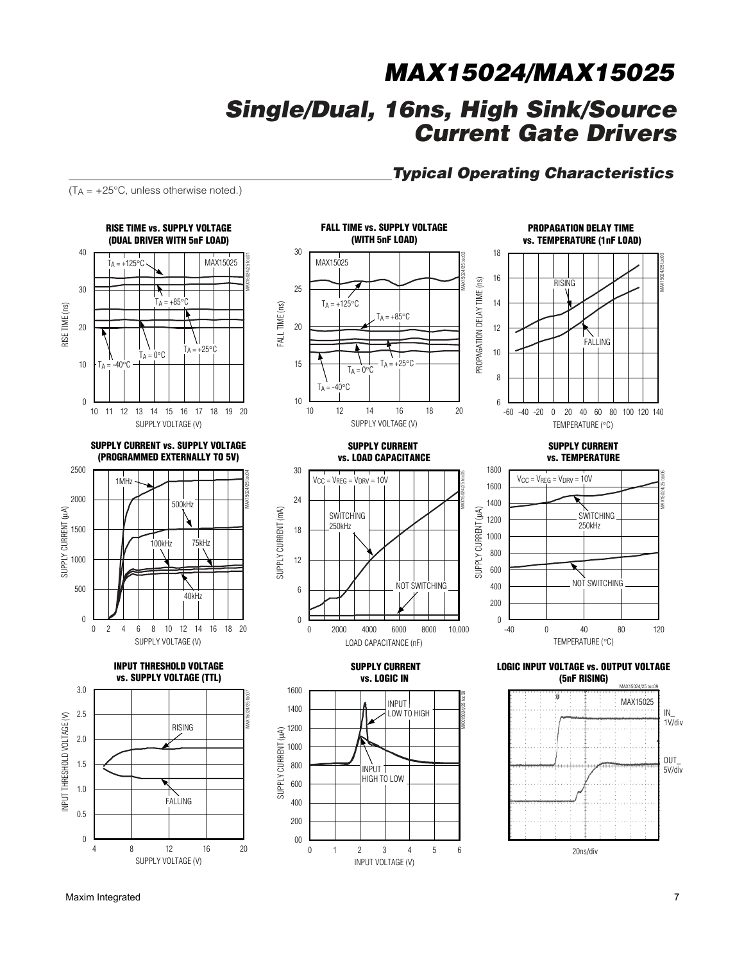### **Typical Operating Characteristics**

 $(T_A = +25^{\circ}C,$  unless otherwise noted.)



**SUPPLY CURRENT vs. SUPPLY VOLTAGE (PROGRAMMED EXTERNALLY TO 5V)**



**INPUT THRESHOLD VOLTAGE vs. SUPPLY VOLTAGE (TTL)**





**SUPPLY CURRENT vs. LOAD CAPACITANCE**

**SWITCHING** 250kHz

 $V_{CC} = V_{REG} = V_{DRV} = 10V$ 

SUPPLY CURRENT (mA)

SUPPLY CURRENT (mA)

SUPPLY CURRENT (μA)

SUPPLY CURRENT (µA)

00

6

0

12

18

24

30

LOAD CAPACITANCE (nF)

**SUPPLY CURRENT vs. LOGIC IN**

> INPUT LOW TO HIGH

INPUT VOLTAGE (V)

1 2 3 4 5

0 1 2 3 4 5 6

INPUT HIGH TO LOW

2000 4000 6000 8000

0 2000 4000 6000 8000 10,000

NOT SWITCHING

PROPAGATION DELAY TIME (ns) PROPAGATION DELAY 12 FALLING 10 8 6 -40 -20 0 20 40 60 80 100 120 -60 140 TEMPERATURE (°C)

14 16

MAX15024/25 toc05

MAX15024/25 toc08

18

**SUPPLY CURRENT vs. TEMPERATURE**

**PROPAGATION DELAY TIME vs. TEMPERATURE (1nF LOAD)**

RISING

MAX15024/25 toc03



**LOGIC INPUT VOLTAGE vs. OUTPUT VOLTAGE (5nF RISING)**

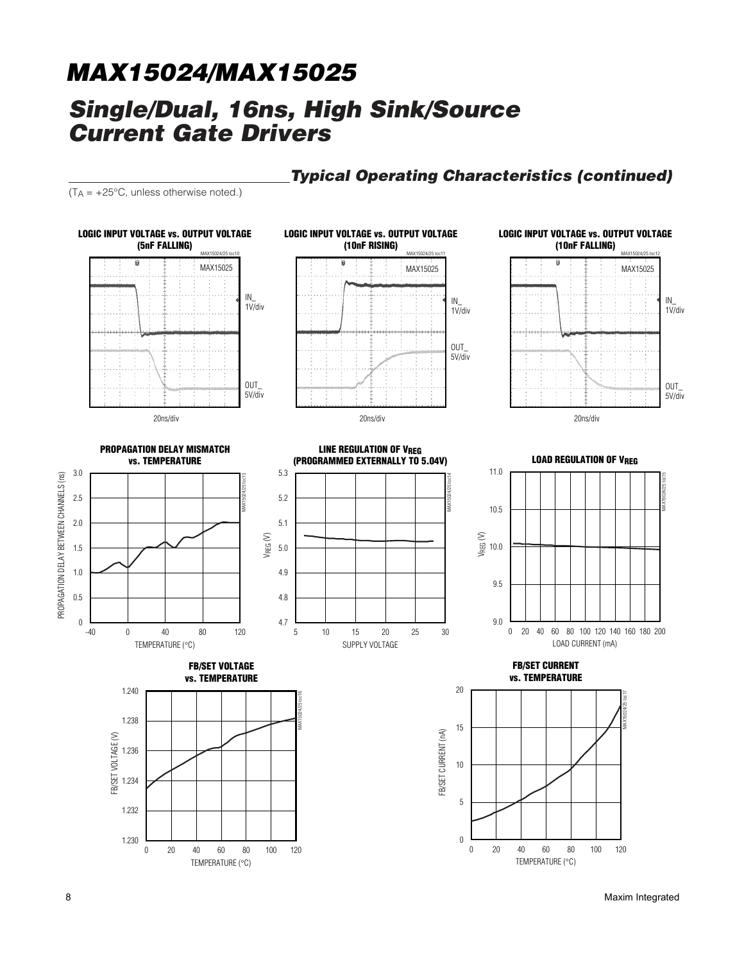## **Typical Operating Characteristics (continued)**

 $(T_A = +25^{\circ}C,$  unless otherwise noted.)



8 Maxim Integrated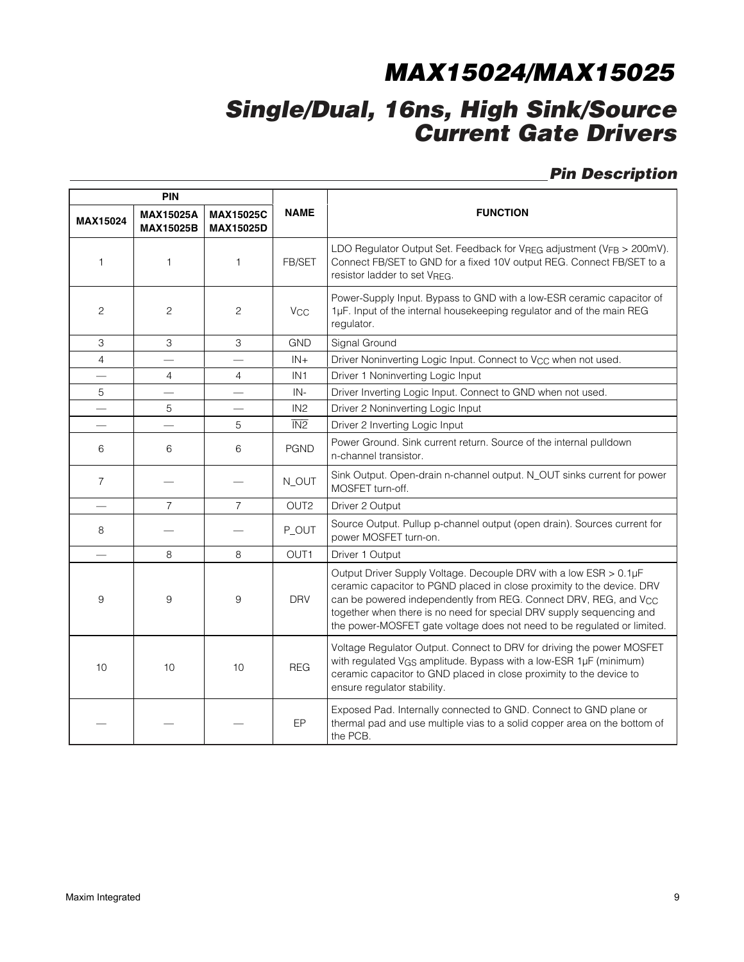## **Single/Dual, 16ns, High Sink/Source Current Gate Drivers**

## **Pin Description**

|                          | <b>PIN</b>                           |                                      |                       |                                                                                                                                                                                                                                                                                                                                                                                |  |  |  |
|--------------------------|--------------------------------------|--------------------------------------|-----------------------|--------------------------------------------------------------------------------------------------------------------------------------------------------------------------------------------------------------------------------------------------------------------------------------------------------------------------------------------------------------------------------|--|--|--|
| <b>MAX15024</b>          | <b>MAX15025A</b><br><b>MAX15025B</b> | <b>MAX15025C</b><br><b>MAX15025D</b> | <b>NAME</b>           | <b>FUNCTION</b>                                                                                                                                                                                                                                                                                                                                                                |  |  |  |
| 1                        | 1                                    | 1                                    | FB/SET                | LDO Regulator Output Set. Feedback for $V_{\text{REG}}$ adjustment ( $V_{\text{FB}} > 200$ mV).<br>Connect FB/SET to GND for a fixed 10V output REG. Connect FB/SET to a<br>resistor ladder to set VREG.                                                                                                                                                                       |  |  |  |
| 2                        | $\overline{c}$                       | 2                                    | <b>V<sub>CC</sub></b> | Power-Supply Input. Bypass to GND with a low-ESR ceramic capacitor of<br>1µF. Input of the internal housekeeping regulator and of the main REG<br>regulator.                                                                                                                                                                                                                   |  |  |  |
| 3                        | 3                                    | 3                                    | <b>GND</b>            | Signal Ground                                                                                                                                                                                                                                                                                                                                                                  |  |  |  |
| $\overline{4}$           |                                      |                                      | $IN +$                | Driver Noninverting Logic Input. Connect to V <sub>CC</sub> when not used.                                                                                                                                                                                                                                                                                                     |  |  |  |
|                          | 4                                    | $\overline{4}$                       | IN <sub>1</sub>       | Driver 1 Noninverting Logic Input                                                                                                                                                                                                                                                                                                                                              |  |  |  |
| 5                        |                                      |                                      | IN-                   | Driver Inverting Logic Input. Connect to GND when not used.                                                                                                                                                                                                                                                                                                                    |  |  |  |
|                          | 5                                    |                                      | IN2                   | Driver 2 Noninverting Logic Input                                                                                                                                                                                                                                                                                                                                              |  |  |  |
|                          |                                      | 5                                    | $\overline{IN2}$      | Driver 2 Inverting Logic Input                                                                                                                                                                                                                                                                                                                                                 |  |  |  |
| 6                        | 6                                    | 6                                    | <b>PGND</b>           | Power Ground. Sink current return. Source of the internal pulldown<br>n-channel transistor.                                                                                                                                                                                                                                                                                    |  |  |  |
| $\overline{7}$           |                                      |                                      | N_OUT                 | Sink Output. Open-drain n-channel output. N_OUT sinks current for power<br>MOSFET turn-off.                                                                                                                                                                                                                                                                                    |  |  |  |
|                          | $\overline{7}$                       | $\overline{7}$                       | OUT <sub>2</sub>      | Driver 2 Output                                                                                                                                                                                                                                                                                                                                                                |  |  |  |
| 8                        |                                      |                                      | P_OUT                 | Source Output. Pullup p-channel output (open drain). Sources current for<br>power MOSFET turn-on.                                                                                                                                                                                                                                                                              |  |  |  |
| $\overline{\phantom{0}}$ | 8                                    | 8                                    | OUT <sub>1</sub>      | Driver 1 Output                                                                                                                                                                                                                                                                                                                                                                |  |  |  |
| 9                        | 9                                    | 9                                    | <b>DRV</b>            | Output Driver Supply Voltage. Decouple DRV with a low ESR > 0.1µF<br>ceramic capacitor to PGND placed in close proximity to the device. DRV<br>can be powered independently from REG. Connect DRV, REG, and V <sub>CC</sub><br>together when there is no need for special DRV supply sequencing and<br>the power-MOSFET gate voltage does not need to be regulated or limited. |  |  |  |
| 10                       | 10                                   | 10                                   | <b>REG</b>            | Voltage Regulator Output. Connect to DRV for driving the power MOSFET<br>with regulated V <sub>GS</sub> amplitude. Bypass with a low-ESR 1µF (minimum)<br>ceramic capacitor to GND placed in close proximity to the device to<br>ensure regulator stability.                                                                                                                   |  |  |  |
|                          |                                      |                                      | EP                    | Exposed Pad. Internally connected to GND. Connect to GND plane or<br>thermal pad and use multiple vias to a solid copper area on the bottom of<br>the PCB.                                                                                                                                                                                                                     |  |  |  |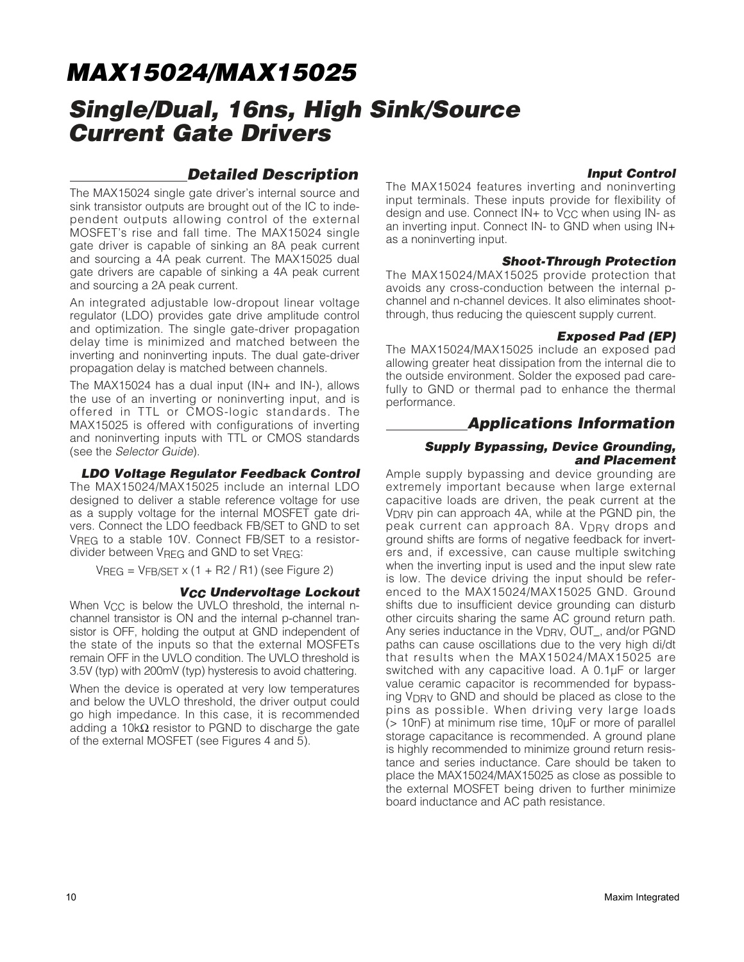## **Single/Dual, 16ns, High Sink/Source Current Gate Drivers**

### **Detailed Description**

The MAX15024 single gate driver's internal source and sink transistor outputs are brought out of the IC to independent outputs allowing control of the external MOSFET's rise and fall time. The MAX15024 single gate driver is capable of sinking an 8A peak current and sourcing a 4A peak current. The MAX15025 dual gate drivers are capable of sinking a 4A peak current and sourcing a 2A peak current.

An integrated adjustable low-dropout linear voltage regulator (LDO) provides gate drive amplitude control and optimization. The single gate-driver propagation delay time is minimized and matched between the inverting and noninverting inputs. The dual gate-driver propagation delay is matched between channels.

The MAX15024 has a dual input (IN+ and IN-), allows the use of an inverting or noninverting input, and is offered in TTL or CMOS-logic standards. The MAX15025 is offered with configurations of inverting and noninverting inputs with TTL or CMOS standards (see the Selector Guide).

**LDO Voltage Regulator Feedback Control** The MAX15024/MAX15025 include an internal LDO designed to deliver a stable reference voltage for use as a supply voltage for the internal MOSFET gate drivers. Connect the LDO feedback FB/SET to GND to set VREG to a stable 10V. Connect FB/SET to a resistordivider between VREG and GND to set VREG:

 $V<sub>BFG</sub> = V<sub>FR/SFT</sub> x (1 + R2/R1) (see Figure 2)$ 

#### **VCC Undervoltage Lockout**

When  $V_{CC}$  is below the UVLO threshold, the internal nchannel transistor is ON and the internal p-channel transistor is OFF, holding the output at GND independent of the state of the inputs so that the external MOSFETs remain OFF in the UVLO condition. The UVLO threshold is 3.5V (typ) with 200mV (typ) hysteresis to avoid chattering.

When the device is operated at very low temperatures and below the UVLO threshold, the driver output could go high impedance. In this case, it is recommended adding a 10k $\Omega$  resistor to PGND to discharge the gate of the external MOSFET (see Figures 4 and 5).

#### **Input Control**

The MAX15024 features inverting and noninverting input terminals. These inputs provide for flexibility of design and use. Connect IN+ to V<sub>CC</sub> when using IN- as an inverting input. Connect IN- to GND when using IN+ as a noninverting input.

#### **Shoot-Through Protection**

The MAX15024/MAX15025 provide protection that avoids any cross-conduction between the internal pchannel and n-channel devices. It also eliminates shootthrough, thus reducing the quiescent supply current.

#### **Exposed Pad (EP)**

The MAX15024/MAX15025 include an exposed pad allowing greater heat dissipation from the internal die to the outside environment. Solder the exposed pad carefully to GND or thermal pad to enhance the thermal performance.

#### **Applications Information**

#### **Supply Bypassing, Device Grounding, and Placement**

Ample supply bypassing and device grounding are extremely important because when large external capacitive loads are driven, the peak current at the VDRV pin can approach 4A, while at the PGND pin, the peak current can approach 8A. V<sub>DRV</sub> drops and ground shifts are forms of negative feedback for inverters and, if excessive, can cause multiple switching when the inverting input is used and the input slew rate is low. The device driving the input should be referenced to the MAX15024/MAX15025 GND. Ground shifts due to insufficient device grounding can disturb other circuits sharing the same AC ground return path. Any series inductance in the V<sub>DRV</sub>, OUT, and/or PGND paths can cause oscillations due to the very high di/dt that results when the MAX15024/MAX15025 are switched with any capacitive load. A 0.1µF or larger value ceramic capacitor is recommended for bypassing V<sub>DRV</sub> to GND and should be placed as close to the pins as possible. When driving very large loads (> 10nF) at minimum rise time, 10µF or more of parallel storage capacitance is recommended. A ground plane is highly recommended to minimize ground return resistance and series inductance. Care should be taken to place the MAX15024/MAX15025 as close as possible to the external MOSFET being driven to further minimize board inductance and AC path resistance.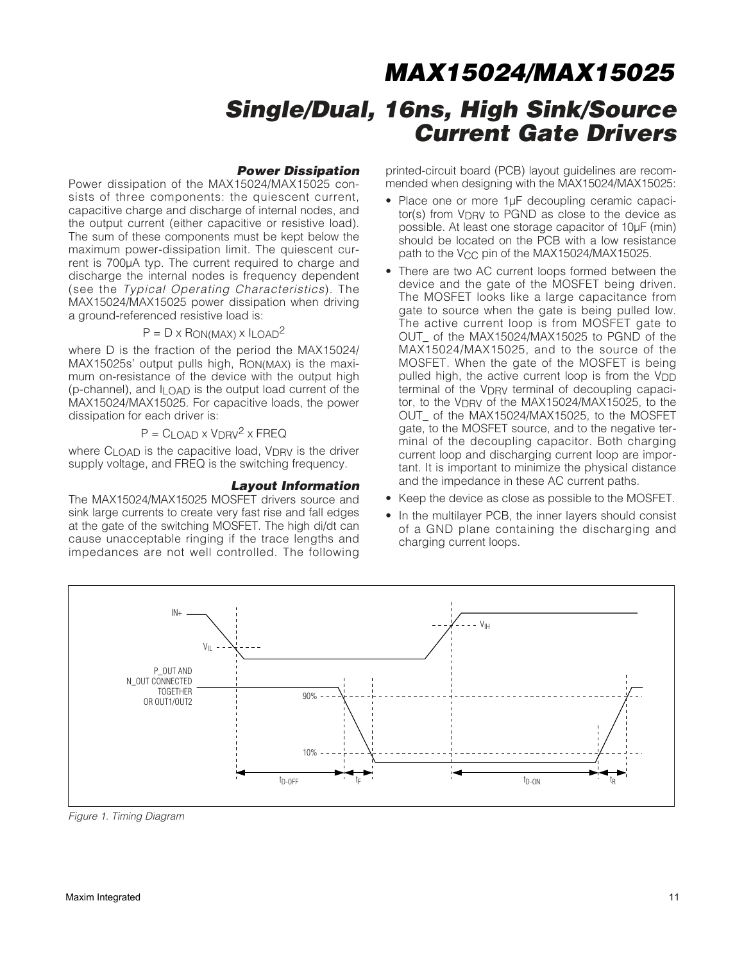#### **Power Dissipation**

Power dissipation of the MAX15024/MAX15025 consists of three components: the quiescent current, capacitive charge and discharge of internal nodes, and the output current (either capacitive or resistive load). The sum of these components must be kept below the maximum power-dissipation limit. The quiescent current is 700µA typ. The current required to charge and discharge the internal nodes is frequency dependent (see the Typical Operating Characteristics). The MAX15024/MAX15025 power dissipation when driving a ground-referenced resistive load is:

#### $P = D \times R$ ON(MAX)  $\times$  ILOAD<sup>2</sup>

where D is the fraction of the period the MAX15024/ MAX15025s' output pulls high, RON(MAX) is the maximum on-resistance of the device with the output high (p-channel), and  $I_{\text{LOAD}}$  is the output load current of the MAX15024/MAX15025. For capacitive loads, the power dissipation for each driver is:

 $P = C_{LOAD} \times V_{DRV}^2 \times FREQ$ 

where  $C_1$   $OAD$  is the capacitive load,  $VDRV$  is the driver supply voltage, and FREQ is the switching frequency.

#### **Layout Information**

The MAX15024/MAX15025 MOSFET drivers source and sink large currents to create very fast rise and fall edges at the gate of the switching MOSFET. The high di/dt can cause unacceptable ringing if the trace lengths and impedances are not well controlled. The following

printed-circuit board (PCB) layout guidelines are recommended when designing with the MAX15024/MAX15025:

- Place one or more 1µF decoupling ceramic capacitor(s) from V<sub>DRV</sub> to PGND as close to the device as possible. At least one storage capacitor of 10µF (min) should be located on the PCB with a low resistance path to the V<sub>CC</sub> pin of the MAX15024/MAX15025.
- There are two AC current loops formed between the device and the gate of the MOSFET being driven. The MOSFET looks like a large capacitance from gate to source when the gate is being pulled low. The active current loop is from MOSFET gate to OUT\_ of the MAX15024/MAX15025 to PGND of the MAX15024/MAX15025, and to the source of the MOSFET. When the gate of the MOSFET is being pulled high, the active current loop is from the  $V_{\text{DD}}$ terminal of the V<sub>DRV</sub> terminal of decoupling capacitor, to the V<sub>DRV</sub> of the MAX15024/MAX15025, to the OUT\_ of the MAX15024/MAX15025, to the MOSFET gate, to the MOSFET source, and to the negative terminal of the decoupling capacitor. Both charging current loop and discharging current loop are important. It is important to minimize the physical distance and the impedance in these AC current paths.
- Keep the device as close as possible to the MOSFET.
- In the multilayer PCB, the inner layers should consist of a GND plane containing the discharging and charging current loops.



Figure 1. Timing Diagram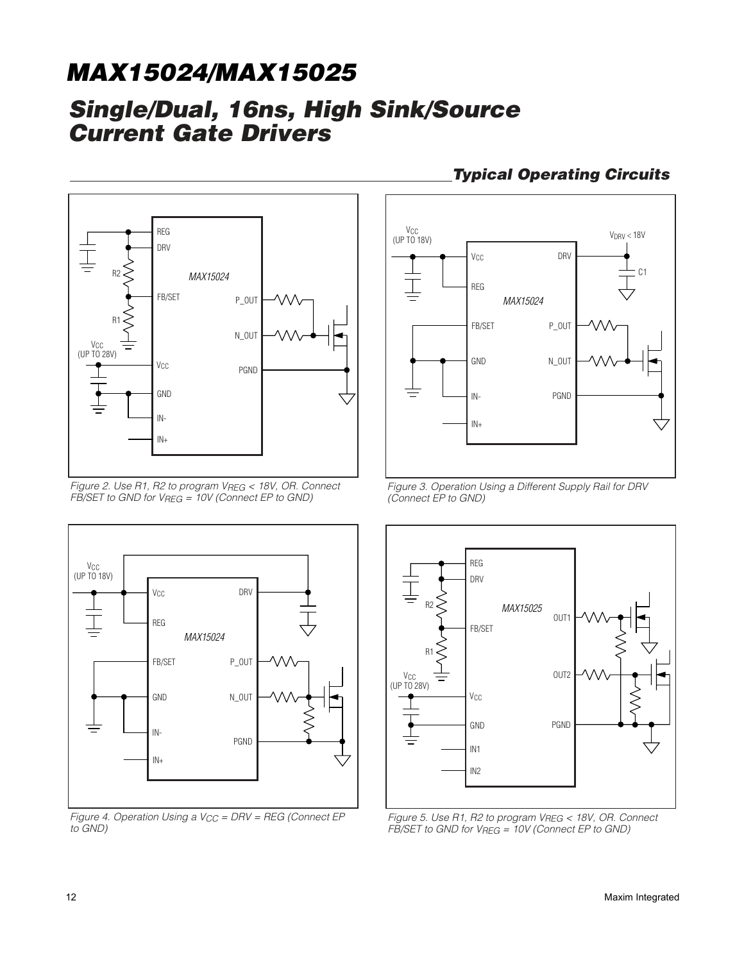## **Single/Dual, 16ns, High Sink/Source Current Gate Drivers**



Figure 2. Use R1, R2 to program VREG < 18V, OR. Connect  $F\bar{B}/\text{SET}$  to GND for  $V_{REG} = 10V$  (Connect EP to GND)



Figure 4. Operation Using a  $V_{CC}$  = DRV = REG (Connect EP to GND)

## **Typical Operating Circuits**



Figure 3. Operation Using a Different Supply Rail for DRV (Connect EP to GND)



Figure 5. Use R1, R2 to program VREG < 18V, OR. Connect  $F\overline{B}/\overline{SET}$  to GND for  $V_{REG} = 10V$  (Connect EP to GND)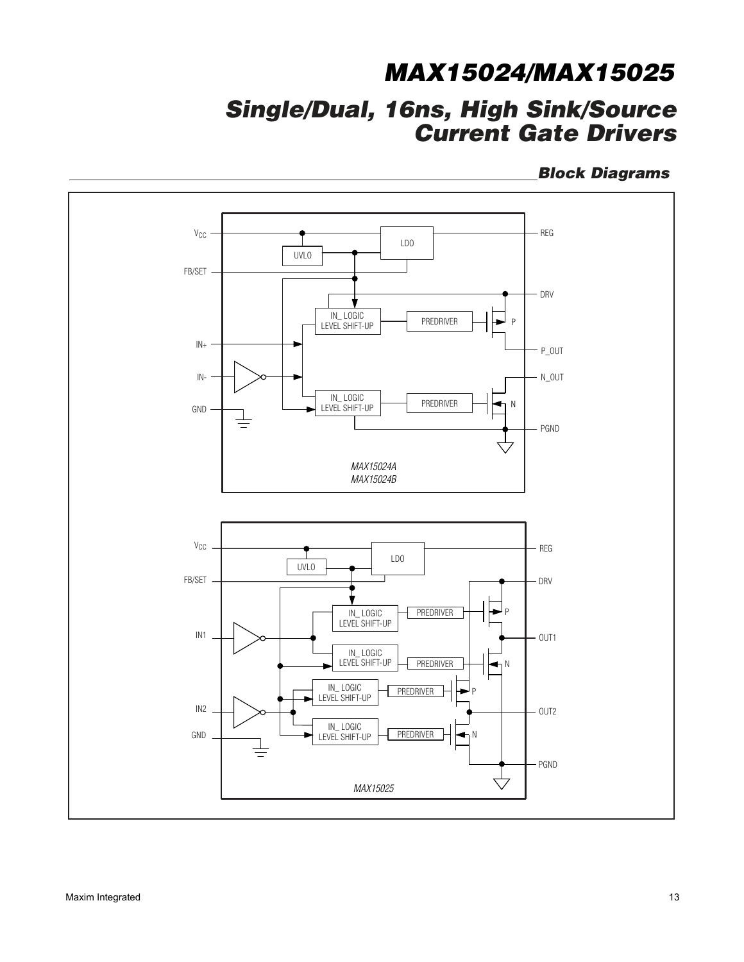## **Single/Dual, 16ns, High Sink/Source Current Gate Drivers**

**Block Diagrams**

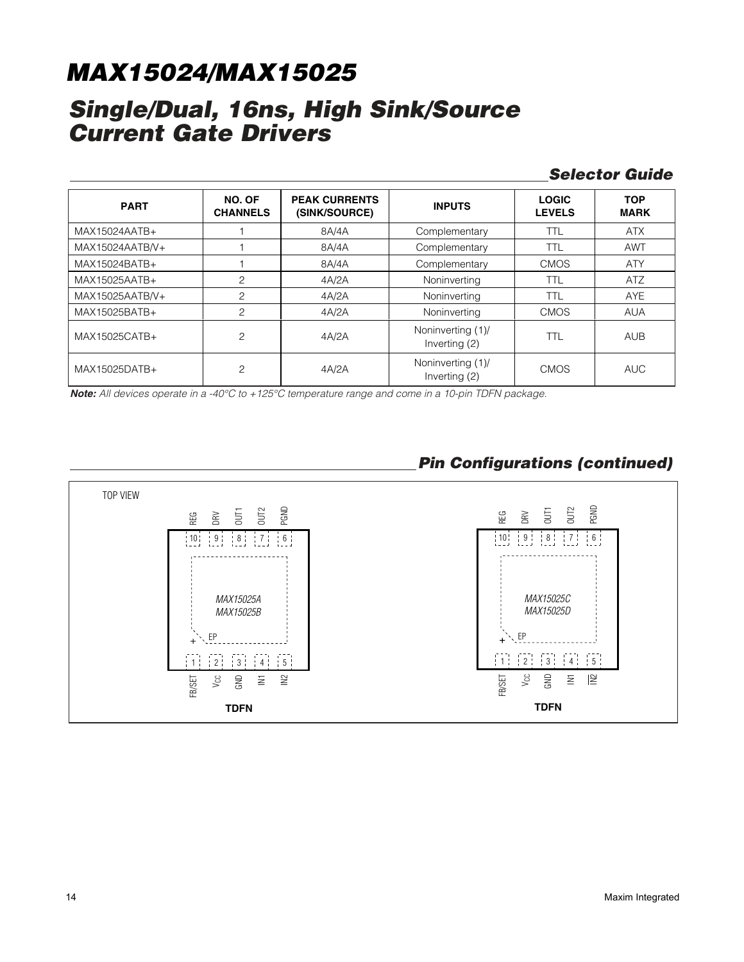## **Single/Dual, 16ns, High Sink/Source Current Gate Drivers**

### **Selector Guide**

| <b>PART</b>     | NO. OF<br><b>CHANNELS</b> | <b>PEAK CURRENTS</b><br>(SINK/SOURCE) | <b>INPUTS</b>                                     | <b>LOGIC</b><br><b>LEVELS</b> | <b>TOP</b><br><b>MARK</b> |
|-----------------|---------------------------|---------------------------------------|---------------------------------------------------|-------------------------------|---------------------------|
| MAX15024AATB+   |                           | 8A/4A                                 | Complementary                                     | <b>TTL</b>                    | <b>ATX</b>                |
| MAX15024AATB/V+ |                           | 8A/4A                                 | Complementary                                     | TTL                           | <b>AWT</b>                |
| MAX15024BATB+   |                           | 8A/4A                                 | Complementary                                     | <b>CMOS</b>                   | <b>ATY</b>                |
| MAX15025AATB+   | $\overline{c}$            | 4A/2A                                 | Noninverting                                      | <b>TTL</b>                    | <b>ATZ</b>                |
| MAX15025AATB/V+ | $\overline{c}$            | 4A/2A                                 | Noninverting                                      | <b>TTL</b>                    | <b>AYE</b>                |
| MAX15025BATB+   | $\overline{c}$            | 4A/2A                                 | Noninverting                                      | <b>CMOS</b>                   | <b>AUA</b>                |
| MAX15025CATB+   | $\overline{c}$            | 4A/2A                                 | Noninverting (1)/<br>Inverting (2)                | TTL                           | <b>AUB</b>                |
| MAX15025DATB+   | $\overline{c}$            | 4A/2A                                 | Noninverting (1)/<br><b>CMOS</b><br>Inverting (2) |                               | <b>AUC</b>                |

**Note:** All devices operate in a -40°C to +125°C temperature range and come in a 10-pin TDFN package.

## **Pin Configurations (continued)**

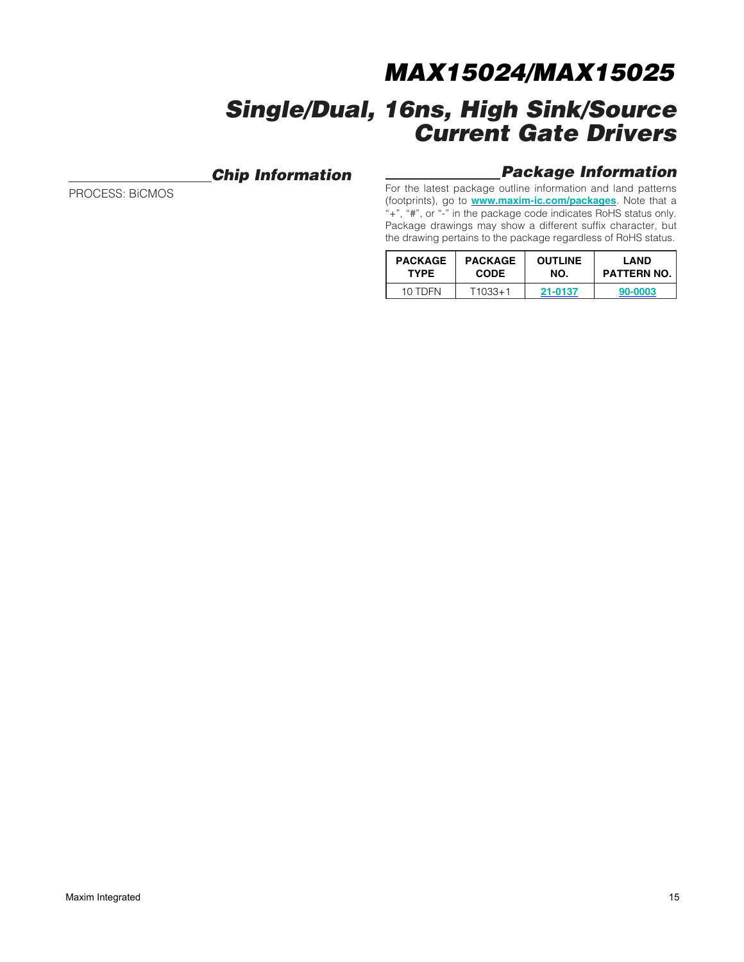## **Chip Information**

PROCESS: BiCMOS

### **Package Information**

For the latest package outline information and land patterns (footprints), go to **[www.maxim-ic.com/packages](http://www.maxim-ic.com/packages)**. Note that a "+", "#", or "-" in the package code indicates RoHS status only. Package drawings may show a different suffix character, but the drawing pertains to the package regardless of RoHS status.

| <b>PACKAGE</b> | <b>PACKAGE</b> | <b>OUTLINE</b> | LAND               |  |
|----------------|----------------|----------------|--------------------|--|
| <b>TYPE</b>    | <b>CODE</b>    | NO.            | <b>PATTERN NO.</b> |  |
| 10 TDFN        | $T1033+1$      | 21-0137        | 90-0003            |  |